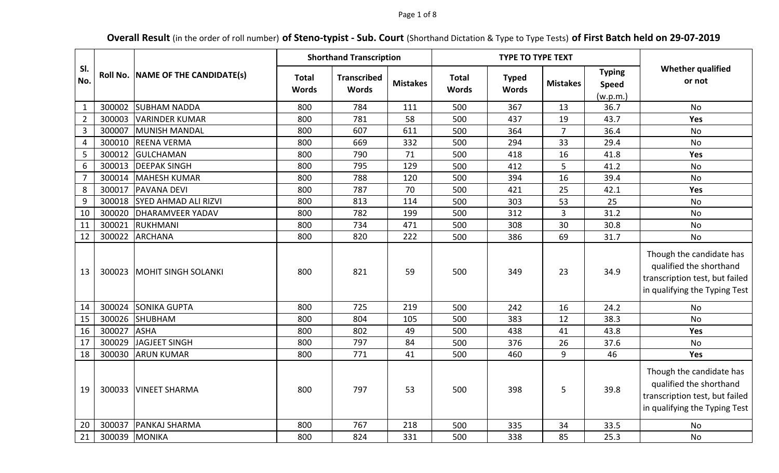### Page 1 of 8

# **Overall Result** (in the order of roll number) **of Steno-typist - Sub. Court** (Shorthand Dictation & Type to Type Tests) **of First Batch held on 29-07-2019**

|                  |        |                                   | <b>Shorthand Transcription</b> |                                    |                 |                              | <b>TYPE TO TYPE TEXT</b>     |                 |                                           |                                                                                                                        |
|------------------|--------|-----------------------------------|--------------------------------|------------------------------------|-----------------|------------------------------|------------------------------|-----------------|-------------------------------------------|------------------------------------------------------------------------------------------------------------------------|
| SI.<br>No.       |        | Roll No. NAME OF THE CANDIDATE(s) | <b>Total</b><br><b>Words</b>   | <b>Transcribed</b><br><b>Words</b> | <b>Mistakes</b> | <b>Total</b><br><b>Words</b> | <b>Typed</b><br><b>Words</b> | <b>Mistakes</b> | <b>Typing</b><br><b>Speed</b><br>(w.p.m.) | <b>Whether qualified</b><br>or not                                                                                     |
| $\mathbf{1}$     | 300002 | <b>SUBHAM NADDA</b>               | 800                            | 784                                | 111             | 500                          | 367                          | 13              | 36.7                                      | <b>No</b>                                                                                                              |
| $\overline{2}$   | 300003 | <b>VARINDER KUMAR</b>             | 800                            | 781                                | 58              | 500                          | 437                          | 19              | 43.7                                      | Yes                                                                                                                    |
| $\overline{3}$   | 300007 | MUNISH MANDAL                     | 800                            | 607                                | 611             | 500                          | 364                          | $\overline{7}$  | 36.4                                      | <b>No</b>                                                                                                              |
| 4                | 300010 | <b>REENA VERMA</b>                | 800                            | 669                                | 332             | 500                          | 294                          | 33              | 29.4                                      | No                                                                                                                     |
| $\overline{5}$   | 300012 | <b>GULCHAMAN</b>                  | 800                            | 790                                | 71              | 500                          | 418                          | 16              | 41.8                                      | Yes                                                                                                                    |
| $6\,$            | 300013 | <b>DEEPAK SINGH</b>               | 800                            | 795                                | 129             | 500                          | 412                          | 5               | 41.2                                      | No                                                                                                                     |
| $\overline{7}$   | 300014 | MAHESH KUMAR                      | 800                            | 788                                | 120             | 500                          | 394                          | 16              | 39.4                                      | <b>No</b>                                                                                                              |
| 8                | 300017 | <b>PAVANA DEVI</b>                | 800                            | 787                                | 70              | 500                          | 421                          | 25              | 42.1                                      | Yes                                                                                                                    |
| $\boldsymbol{9}$ | 300018 | <b>SYED AHMAD ALI RIZVI</b>       | 800                            | 813                                | 114             | 500                          | 303                          | 53              | 25                                        | No                                                                                                                     |
| 10               | 300020 | <b>DHARAMVEER YADAV</b>           | 800                            | 782                                | 199             | 500                          | 312                          | 3               | 31.2                                      | No                                                                                                                     |
| 11               | 300021 | RUKHMANI                          | 800                            | 734                                | 471             | 500                          | 308                          | 30              | 30.8                                      | No                                                                                                                     |
| 12               | 300022 | <b>ARCHANA</b>                    | 800                            | 820                                | 222             | 500                          | 386                          | 69              | 31.7                                      | No                                                                                                                     |
| 13               | 300023 | MOHIT SINGH SOLANKI               | 800                            | 821                                | 59              | 500                          | 349                          | 23              | 34.9                                      | Though the candidate has<br>qualified the shorthand<br>transcription test, but failed<br>in qualifying the Typing Test |
| 14               | 300024 | <b>SONIKA GUPTA</b>               | 800                            | 725                                | 219             | 500                          | 242                          | 16              | 24.2                                      | <b>No</b>                                                                                                              |
| 15               | 300026 | SHUBHAM                           | 800                            | 804                                | 105             | 500                          | 383                          | 12              | 38.3                                      | No                                                                                                                     |
| 16               | 300027 | <b>ASHA</b>                       | 800                            | 802                                | 49              | 500                          | 438                          | 41              | 43.8                                      | Yes                                                                                                                    |
| 17               | 300029 | JAGJEET SINGH                     | 800                            | 797                                | 84              | 500                          | 376                          | 26              | 37.6                                      | No                                                                                                                     |
| 18               | 300030 | <b>ARUN KUMAR</b>                 | 800                            | 771                                | 41              | 500                          | 460                          | 9               | 46                                        | Yes                                                                                                                    |
| 19               | 300033 | <b>VINEET SHARMA</b>              | 800                            | 797                                | 53              | 500                          | 398                          | 5               | 39.8                                      | Though the candidate has<br>qualified the shorthand<br>transcription test, but failed<br>in qualifying the Typing Test |
| 20               | 300037 | <b>PANKAJ SHARMA</b>              | 800                            | 767                                | 218             | 500                          | 335                          | 34              | 33.5                                      | No                                                                                                                     |
| 21               | 300039 | MONIKA                            | 800                            | 824                                | 331             | 500                          | 338                          | 85              | 25.3                                      | No                                                                                                                     |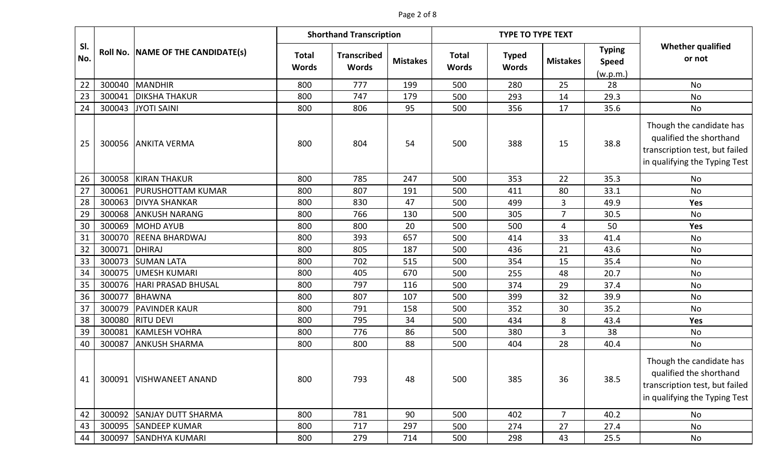# Page 2 of 8

|            |        | <b>Shorthand Transcription</b><br><b>TYPE TO TYPE TEXT</b> |                              |                                    |                 |                              |                              |                 |                                           |                                                                                                                        |
|------------|--------|------------------------------------------------------------|------------------------------|------------------------------------|-----------------|------------------------------|------------------------------|-----------------|-------------------------------------------|------------------------------------------------------------------------------------------------------------------------|
| SI.<br>No. |        | Roll No. NAME OF THE CANDIDATE(s)                          | <b>Total</b><br><b>Words</b> | <b>Transcribed</b><br><b>Words</b> | <b>Mistakes</b> | <b>Total</b><br><b>Words</b> | <b>Typed</b><br><b>Words</b> | <b>Mistakes</b> | <b>Typing</b><br><b>Speed</b><br>(w.p.m.) | <b>Whether qualified</b><br>or not                                                                                     |
| 22         | 300040 | MANDHIR                                                    | 800                          | 777                                | 199             | 500                          | 280                          | 25              | 28                                        | No                                                                                                                     |
| 23         | 300041 | <b>DIKSHA THAKUR</b>                                       | 800                          | 747                                | 179             | 500                          | 293                          | 14              | 29.3                                      | No                                                                                                                     |
| 24         | 300043 | JYOTI SAINI                                                | 800                          | 806                                | 95              | 500                          | 356                          | 17              | 35.6                                      | No                                                                                                                     |
| 25         | 300056 | <b>ANKITA VERMA</b>                                        | 800                          | 804                                | 54              | 500                          | 388                          | 15              | 38.8                                      | Though the candidate has<br>qualified the shorthand<br>transcription test, but failed<br>in qualifying the Typing Test |
| 26         | 300058 | <b>KIRAN THAKUR</b>                                        | 800                          | 785                                | 247             | 500                          | 353                          | 22              | 35.3                                      | No                                                                                                                     |
| 27         | 300061 | <b>PURUSHOTTAM KUMAR</b>                                   | 800                          | 807                                | 191             | 500                          | 411                          | 80              | 33.1                                      | No                                                                                                                     |
| 28         | 300063 | <b>DIVYA SHANKAR</b>                                       | 800                          | 830                                | 47              | 500                          | 499                          | 3               | 49.9                                      | Yes                                                                                                                    |
| 29         | 300068 | <b>ANKUSH NARANG</b>                                       | 800                          | 766                                | 130             | 500                          | 305                          | $\overline{7}$  | 30.5                                      | No                                                                                                                     |
| 30         | 300069 | MOHD AYUB                                                  | 800                          | 800                                | 20              | 500                          | 500                          | 4               | 50                                        | Yes                                                                                                                    |
| 31         | 300070 | <b>REENA BHARDWAJ</b>                                      | 800                          | 393                                | 657             | 500                          | 414                          | 33              | 41.4                                      | No                                                                                                                     |
| 32         | 300071 | DHIRAJ                                                     | 800                          | 805                                | 187             | 500                          | 436                          | 21              | 43.6                                      | No                                                                                                                     |
| 33         | 300073 | <b>SUMAN LATA</b>                                          | 800                          | 702                                | 515             | 500                          | 354                          | 15              | 35.4                                      | No                                                                                                                     |
| 34         | 300075 | <b>UMESH KUMARI</b>                                        | 800                          | 405                                | 670             | 500                          | 255                          | 48              | 20.7                                      | No                                                                                                                     |
| 35         | 300076 | <b>HARI PRASAD BHUSAL</b>                                  | 800                          | 797                                | 116             | 500                          | 374                          | 29              | 37.4                                      | No                                                                                                                     |
| 36         | 300077 | <b>BHAWNA</b>                                              | 800                          | 807                                | 107             | 500                          | 399                          | 32              | 39.9                                      | No                                                                                                                     |
| 37         | 300079 | <b>PAVINDER KAUR</b>                                       | 800                          | 791                                | 158             | 500                          | 352                          | 30              | 35.2                                      | No                                                                                                                     |
| 38         | 300080 | <b>RITU DEVI</b>                                           | 800                          | 795                                | 34              | 500                          | 434                          | 8               | 43.4                                      | <b>Yes</b>                                                                                                             |
| 39         | 300081 | <b>KAMLESH VOHRA</b>                                       | 800                          | 776                                | 86              | 500                          | 380                          | 3               | 38                                        | No                                                                                                                     |
| 40         | 300087 | <b>ANKUSH SHARMA</b>                                       | 800                          | 800                                | 88              | 500                          | 404                          | 28              | 40.4                                      | No                                                                                                                     |
| 41         |        | 300091   VISHWANEET ANAND                                  | 800                          | 793                                | 48              | 500                          | 385                          | 36              | 38.5                                      | Though the candidate has<br>qualified the shorthand<br>transcription test, but failed<br>in qualifying the Typing Test |
| 42         | 300092 | <b>SANJAY DUTT SHARMA</b>                                  | 800                          | 781                                | 90              | 500                          | 402                          | $\overline{7}$  | 40.2                                      | No                                                                                                                     |
| 43         | 300095 | <b>SANDEEP KUMAR</b>                                       | 800                          | 717                                | 297             | 500                          | 274                          | 27              | 27.4                                      | No                                                                                                                     |
| 44         | 300097 | <b>SANDHYA KUMARI</b>                                      | 800                          | 279                                | 714             | 500                          | 298                          | 43              | 25.5                                      | No                                                                                                                     |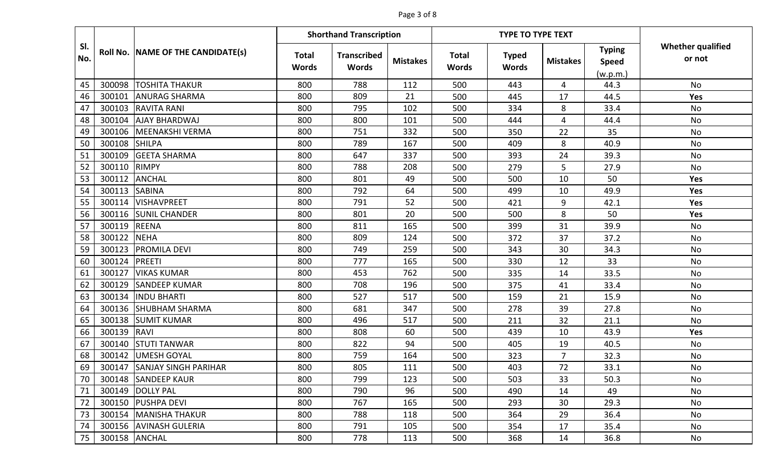# Page 3 of 8

|            |        |                                   |                              | <b>Shorthand Transcription</b>     |                 |                              | <b>TYPE TO TYPE TEXT</b>     |                 |                                           |                                    |
|------------|--------|-----------------------------------|------------------------------|------------------------------------|-----------------|------------------------------|------------------------------|-----------------|-------------------------------------------|------------------------------------|
| SI.<br>No. |        | Roll No. NAME OF THE CANDIDATE(s) | <b>Total</b><br><b>Words</b> | <b>Transcribed</b><br><b>Words</b> | <b>Mistakes</b> | <b>Total</b><br><b>Words</b> | <b>Typed</b><br><b>Words</b> | <b>Mistakes</b> | <b>Typing</b><br><b>Speed</b><br>(w.p.m.) | <b>Whether qualified</b><br>or not |
| 45         | 300098 | <b>TOSHITA THAKUR</b>             | 800                          | 788                                | 112             | 500                          | 443                          | 4               | 44.3                                      | No                                 |
| 46         | 300101 | <b>ANURAG SHARMA</b>              | 800                          | 809                                | 21              | 500                          | 445                          | 17              | 44.5                                      | Yes                                |
| 47         | 300103 | <b>RAVITA RANI</b>                | 800                          | 795                                | 102             | 500                          | 334                          | 8               | 33.4                                      | <b>No</b>                          |
| 48         | 300104 | <b>AJAY BHARDWAJ</b>              | 800                          | 800                                | 101             | 500                          | 444                          | 4               | 44.4                                      | <b>No</b>                          |
| 49         | 300106 | MEENAKSHI VERMA                   | 800                          | 751                                | 332             | 500                          | 350                          | 22              | 35                                        | <b>No</b>                          |
| 50         | 300108 | <b>SHILPA</b>                     | 800                          | 789                                | 167             | 500                          | 409                          | 8               | 40.9                                      | <b>No</b>                          |
| 51         | 300109 | <b>GEETA SHARMA</b>               | 800                          | 647                                | 337             | 500                          | 393                          | 24              | 39.3                                      | <b>No</b>                          |
| 52         | 300110 | <b>RIMPY</b>                      | 800                          | 788                                | 208             | 500                          | 279                          | 5               | 27.9                                      | No                                 |
| 53         | 300112 | <b>ANCHAL</b>                     | 800                          | 801                                | 49              | 500                          | 500                          | 10              | 50                                        | Yes                                |
| 54         | 300113 | <b>SABINA</b>                     | 800                          | 792                                | 64              | 500                          | 499                          | 10              | 49.9                                      | <b>Yes</b>                         |
| 55         | 300114 | <b>VISHAVPREET</b>                | 800                          | 791                                | 52              | 500                          | 421                          | 9               | 42.1                                      | Yes                                |
| 56         | 300116 | <b>SUNIL CHANDER</b>              | 800                          | 801                                | 20              | 500                          | 500                          | 8               | 50                                        | Yes                                |
| 57         | 300119 | <b>REENA</b>                      | 800                          | 811                                | 165             | 500                          | 399                          | 31              | 39.9                                      | No                                 |
| 58         | 300122 | <b>NEHA</b>                       | 800                          | 809                                | 124             | 500                          | 372                          | 37              | 37.2                                      | No                                 |
| 59         | 300123 | <b>PROMILA DEVI</b>               | 800                          | 749                                | 259             | 500                          | 343                          | 30              | 34.3                                      | <b>No</b>                          |
| 60         | 300124 | PREETI                            | 800                          | 777                                | 165             | 500                          | 330                          | 12              | 33                                        | <b>No</b>                          |
| 61         | 300127 | <b>VIKAS KUMAR</b>                | 800                          | 453                                | 762             | 500                          | 335                          | 14              | 33.5                                      | <b>No</b>                          |
| 62         | 300129 | <b>SANDEEP KUMAR</b>              | 800                          | 708                                | 196             | 500                          | 375                          | 41              | 33.4                                      | <b>No</b>                          |
| 63         | 300134 | <b>INDU BHARTI</b>                | 800                          | 527                                | 517             | 500                          | 159                          | 21              | 15.9                                      | No                                 |
| 64         | 300136 | <b>SHUBHAM SHARMA</b>             | 800                          | 681                                | 347             | 500                          | 278                          | 39              | 27.8                                      | <b>No</b>                          |
| 65         | 300138 | <b>SUMIT KUMAR</b>                | 800                          | 496                                | 517             | 500                          | 211                          | 32              | 21.1                                      | No                                 |
| 66         | 300139 | RAVI                              | 800                          | 808                                | 60              | 500                          | 439                          | 10              | 43.9                                      | Yes                                |
| 67         | 300140 | <b>STUTI TANWAR</b>               | 800                          | 822                                | 94              | 500                          | 405                          | 19              | 40.5                                      | No                                 |
| 68         | 300142 | <b>UMESH GOYAL</b>                | 800                          | 759                                | 164             | 500                          | 323                          | 7               | 32.3                                      | No                                 |
| 69         | 300147 | <b>SANJAY SINGH PARIHAR</b>       | 800                          | 805                                | 111             | 500                          | 403                          | 72              | 33.1                                      | No                                 |
| 70         |        | 300148 SANDEEP KAUR               | 800                          | 799                                | 123             | 500                          | 503                          | 33              | 50.3                                      | No                                 |
| 71         | 300149 | <b>DOLLY PAL</b>                  | 800                          | 790                                | 96              | 500                          | 490                          | 14              | 49                                        | No                                 |
| 72         |        | 300150 PUSHPA DEVI                | 800                          | 767                                | 165             | 500                          | 293                          | 30              | 29.3                                      | No                                 |
| 73         | 300154 | MANISHA THAKUR                    | 800                          | 788                                | 118             | 500                          | 364                          | 29              | 36.4                                      | No                                 |
| 74         |        | 300156 AVINASH GULERIA            | 800                          | 791                                | 105             | 500                          | 354                          | 17              | 35.4                                      | No                                 |
| 75         |        | 300158 ANCHAL                     | 800                          | 778                                | 113             | 500                          | 368                          | 14              | 36.8                                      | No                                 |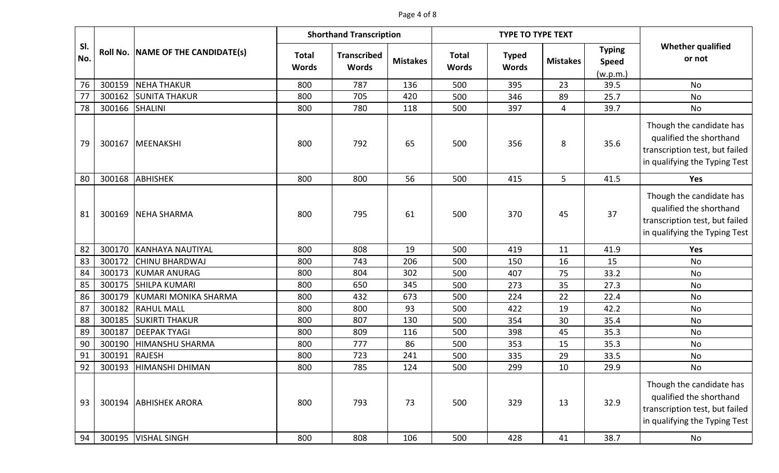### Page 4 of 8

|            |        |                                   |                              | <b>Shorthand Transcription</b>     |                 |                              | <b>TYPE TO TYPE TEXT</b>     |                 |                                           |                                                                                                                        |
|------------|--------|-----------------------------------|------------------------------|------------------------------------|-----------------|------------------------------|------------------------------|-----------------|-------------------------------------------|------------------------------------------------------------------------------------------------------------------------|
| SI.<br>No. |        | Roll No. NAME OF THE CANDIDATE(s) | <b>Total</b><br><b>Words</b> | <b>Transcribed</b><br><b>Words</b> | <b>Mistakes</b> | <b>Total</b><br><b>Words</b> | <b>Typed</b><br><b>Words</b> | <b>Mistakes</b> | <b>Typing</b><br><b>Speed</b><br>(w.p.m.) | <b>Whether qualified</b><br>or not                                                                                     |
| 76         | 300159 | <b>NEHA THAKUR</b>                | 800                          | 787                                | 136             | 500                          | 395                          | 23              | 39.5                                      | No                                                                                                                     |
| 77         | 300162 | <b>SUNITA THAKUR</b>              | 800                          | 705                                | 420             | 500                          | 346                          | 89              | 25.7                                      | No                                                                                                                     |
| 78         | 300166 | <b>SHALINI</b>                    | 800                          | 780                                | 118             | 500                          | 397                          | $\overline{4}$  | 39.7                                      | No                                                                                                                     |
| 79         | 300167 | <b>MEENAKSHI</b>                  | 800                          | 792                                | 65              | 500                          | 356                          | 8               | 35.6                                      | Though the candidate has<br>qualified the shorthand<br>transcription test, but failed<br>in qualifying the Typing Test |
| 80         | 300168 | <b>ABHISHEK</b>                   | 800                          | 800                                | 56              | 500                          | 415                          | 5               | 41.5                                      | Yes                                                                                                                    |
| 81         | 300169 | <b>NEHA SHARMA</b>                | 800                          | 795                                | 61              | 500                          | 370                          | 45              | 37                                        | Though the candidate has<br>qualified the shorthand<br>transcription test, but failed<br>in qualifying the Typing Test |
| 82         | 300170 | <b>KANHAYA NAUTIYAL</b>           | 800                          | 808                                | 19              | 500                          | 419                          | 11              | 41.9                                      | Yes                                                                                                                    |
| 83         | 300172 | <b>CHINU BHARDWAJ</b>             | 800                          | 743                                | 206             | 500                          | 150                          | 16              | 15                                        | No                                                                                                                     |
| 84         | 300173 | <b>KUMAR ANURAG</b>               | 800                          | 804                                | 302             | 500                          | 407                          | 75              | 33.2                                      | No                                                                                                                     |
| 85         | 300175 | <b>SHILPA KUMARI</b>              | 800                          | 650                                | 345             | 500                          | 273                          | 35              | 27.3                                      | No                                                                                                                     |
| 86         | 300179 | KUMARI MONIKA SHARMA              | 800                          | 432                                | 673             | 500                          | 224                          | 22              | 22.4                                      | No                                                                                                                     |
| 87         | 300182 | <b>RAHUL MALL</b>                 | 800                          | 800                                | 93              | 500                          | 422                          | 19              | 42.2                                      | No                                                                                                                     |
| 88         | 300185 | <b>SUKIRTI THAKUR</b>             | 800                          | 807                                | 130             | 500                          | 354                          | 30              | 35.4                                      | No                                                                                                                     |
| 89         | 300187 | <b>DEEPAK TYAGI</b>               | 800                          | 809                                | 116             | 500                          | 398                          | 45              | 35.3                                      | No                                                                                                                     |
| 90         | 300190 | <b>HIMANSHU SHARMA</b>            | 800                          | 777                                | 86              | 500                          | 353                          | 15              | 35.3                                      | No                                                                                                                     |
| 91         | 300191 | <b>RAJESH</b>                     | 800                          | 723                                | 241             | 500                          | 335                          | 29              | 33.5                                      | No                                                                                                                     |
| 92         | 300193 | <b>HIMANSHI DHIMAN</b>            | 800                          | 785                                | 124             | 500                          | 299                          | 10              | 29.9                                      | No                                                                                                                     |
| 93         | 300194 | <b>ABHISHEK ARORA</b>             | 800                          | 793                                | 73              | 500                          | 329                          | 13              | 32.9                                      | Though the candidate has<br>qualified the shorthand<br>transcription test, but failed<br>in qualifying the Typing Test |
| 94         | 300195 | <b>VISHAL SINGH</b>               | 800                          | 808                                | 106             | 500                          | 428                          | 41              | 38.7                                      | No                                                                                                                     |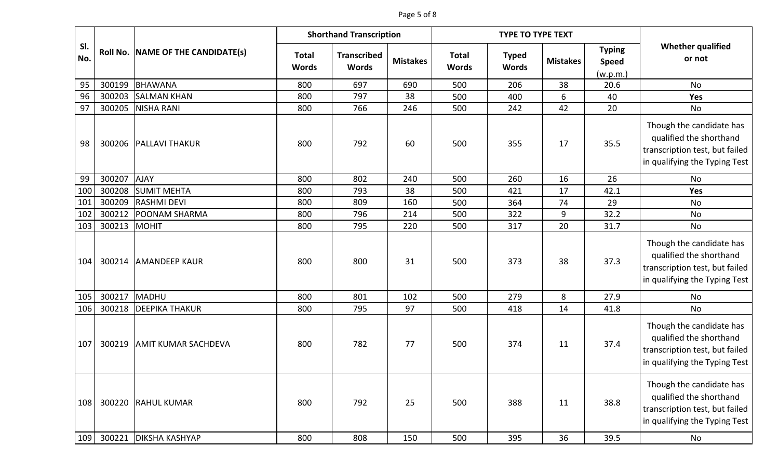### Page 5 of 8

|            |        |                                   |                              | <b>Shorthand Transcription</b>     |                 |                              | <b>TYPE TO TYPE TEXT</b>     |                 |                                           |                                                                                                                        |
|------------|--------|-----------------------------------|------------------------------|------------------------------------|-----------------|------------------------------|------------------------------|-----------------|-------------------------------------------|------------------------------------------------------------------------------------------------------------------------|
| SI.<br>No. |        | Roll No. NAME OF THE CANDIDATE(s) | <b>Total</b><br><b>Words</b> | <b>Transcribed</b><br><b>Words</b> | <b>Mistakes</b> | <b>Total</b><br><b>Words</b> | <b>Typed</b><br><b>Words</b> | <b>Mistakes</b> | <b>Typing</b><br><b>Speed</b><br>(w.p.m.) | <b>Whether qualified</b><br>or not                                                                                     |
| 95         | 300199 | BHAWANA                           | 800                          | 697                                | 690             | 500                          | 206                          | 38              | 20.6                                      | No                                                                                                                     |
| 96         | 300203 | <b>SALMAN KHAN</b>                | 800                          | 797                                | 38              | 500                          | 400                          | 6               | 40                                        | Yes                                                                                                                    |
| 97         | 300205 | <b>NISHA RANI</b>                 | 800                          | 766                                | 246             | 500                          | 242                          | 42              | 20                                        | No                                                                                                                     |
| 98         | 300206 | <b>PALLAVI THAKUR</b>             | 800                          | 792                                | 60              | 500                          | 355                          | 17              | 35.5                                      | Though the candidate has<br>qualified the shorthand<br>transcription test, but failed<br>in qualifying the Typing Test |
| 99         | 300207 | <b>AJAY</b>                       | 800                          | 802                                | 240             | 500                          | 260                          | 16              | 26                                        | No                                                                                                                     |
| 100        | 300208 | <b>SUMIT MEHTA</b>                | 800                          | 793                                | 38              | 500                          | 421                          | 17              | 42.1                                      | <b>Yes</b>                                                                                                             |
| 101        | 300209 | <b>RASHMI DEVI</b>                | 800                          | 809                                | 160             | 500                          | 364                          | 74              | 29                                        | No                                                                                                                     |
| 102        | 300212 | <b>POONAM SHARMA</b>              | 800                          | 796                                | 214             | 500                          | 322                          | 9               | 32.2                                      | No                                                                                                                     |
| 103        | 300213 | MOHIT                             | 800                          | 795                                | 220             | 500                          | 317                          | 20              | 31.7                                      | No                                                                                                                     |
| 104        | 300214 | <b>AMANDEEP KAUR</b>              | 800                          | 800                                | 31              | 500                          | 373                          | 38              | 37.3                                      | Though the candidate has<br>qualified the shorthand<br>transcription test, but failed<br>in qualifying the Typing Test |
| 105        | 300217 | MADHU                             | 800                          | 801                                | 102             | 500                          | 279                          | 8               | 27.9                                      | No                                                                                                                     |
| 106        | 300218 | <b>DEEPIKA THAKUR</b>             | 800                          | 795                                | 97              | 500                          | 418                          | 14              | 41.8                                      | No                                                                                                                     |
| 107        | 300219 | <b>AMIT KUMAR SACHDEVA</b>        | 800                          | 782                                | 77              | 500                          | 374                          | 11              | 37.4                                      | Though the candidate has<br>qualified the shorthand<br>transcription test, but failed<br>in qualifying the Typing Test |
| 108        |        | 300220 RAHUL KUMAR                | 800                          | 792                                | 25              | 500                          | 388                          | 11              | 38.8                                      | Though the candidate has<br>qualified the shorthand<br>transcription test, but failed<br>in qualifying the Typing Test |
| 109        | 300221 | <b>DIKSHA KASHYAP</b>             | 800                          | 808                                | 150             | 500                          | 395                          | 36              | 39.5                                      | No                                                                                                                     |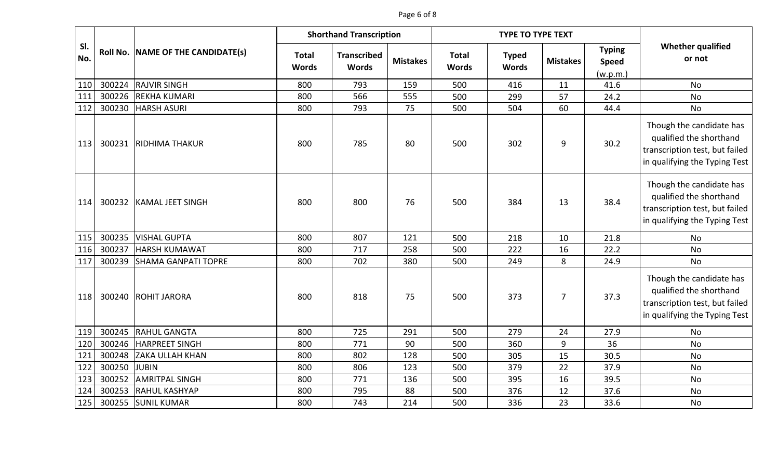#### Page 6 of 8

|            |        |                                   |                              | <b>Shorthand Transcription</b>     |                 |                              | <b>TYPE TO TYPE TEXT</b>     |                 |                                           |                                                                                                                        |
|------------|--------|-----------------------------------|------------------------------|------------------------------------|-----------------|------------------------------|------------------------------|-----------------|-------------------------------------------|------------------------------------------------------------------------------------------------------------------------|
| SI.<br>No. |        | Roll No. NAME OF THE CANDIDATE(s) | <b>Total</b><br><b>Words</b> | <b>Transcribed</b><br><b>Words</b> | <b>Mistakes</b> | <b>Total</b><br><b>Words</b> | <b>Typed</b><br><b>Words</b> | <b>Mistakes</b> | <b>Typing</b><br><b>Speed</b><br>(w.p.m.) | <b>Whether qualified</b><br>or not                                                                                     |
| 110        | 300224 | <b>RAJVIR SINGH</b>               | 800                          | 793                                | 159             | 500                          | 416                          | 11              | 41.6                                      | <b>No</b>                                                                                                              |
| 111        | 300226 | <b>REKHA KUMARI</b>               | 800                          | 566                                | 555             | 500                          | 299                          | 57              | 24.2                                      | No                                                                                                                     |
| 112        | 300230 | <b>HARSH ASURI</b>                | 800                          | 793                                | 75              | 500                          | 504                          | 60              | 44.4                                      | No                                                                                                                     |
| 113        | 300231 | <b>RIDHIMA THAKUR</b>             | 800                          | 785                                | 80              | 500                          | 302                          | 9               | 30.2                                      | Though the candidate has<br>qualified the shorthand<br>transcription test, but failed<br>in qualifying the Typing Test |
| 114        | 300232 | <b>KAMAL JEET SINGH</b>           | 800                          | 800                                | 76              | 500                          | 384                          | 13              | 38.4                                      | Though the candidate has<br>qualified the shorthand<br>transcription test, but failed<br>in qualifying the Typing Test |
| 115        | 300235 | <b>VISHAL GUPTA</b>               | 800                          | 807                                | 121             | 500                          | 218                          | 10              | 21.8                                      | No                                                                                                                     |
| 116        | 300237 | <b>HARSH KUMAWAT</b>              | 800                          | 717                                | 258             | 500                          | 222                          | 16              | 22.2                                      | <b>No</b>                                                                                                              |
| 117        | 300239 | <b>SHAMA GANPATI TOPRE</b>        | 800                          | 702                                | 380             | 500                          | 249                          | 8               | 24.9                                      | <b>No</b>                                                                                                              |
| 118        | 300240 | <b>ROHIT JARORA</b>               | 800                          | 818                                | 75              | 500                          | 373                          | $\overline{7}$  | 37.3                                      | Though the candidate has<br>qualified the shorthand<br>transcription test, but failed<br>in qualifying the Typing Test |
| 119        | 300245 | <b>RAHUL GANGTA</b>               | 800                          | 725                                | 291             | 500                          | 279                          | 24              | 27.9                                      | <b>No</b>                                                                                                              |
| 120        | 300246 | <b>HARPREET SINGH</b>             | 800                          | 771                                | 90              | 500                          | 360                          | 9               | 36                                        | No                                                                                                                     |
| 121        | 300248 | <b>ZAKA ULLAH KHAN</b>            | 800                          | 802                                | 128             | 500                          | 305                          | 15              | 30.5                                      | <b>No</b>                                                                                                              |
| 122        | 300250 | <b>JUBIN</b>                      | 800                          | 806                                | 123             | 500                          | 379                          | 22              | 37.9                                      | No                                                                                                                     |
| 123        | 300252 | <b>AMRITPAL SINGH</b>             | 800                          | 771                                | 136             | 500                          | 395                          | 16              | 39.5                                      | <b>No</b>                                                                                                              |
| 124        | 300253 | <b>RAHUL KASHYAP</b>              | 800                          | 795                                | 88              | 500                          | 376                          | 12              | 37.6                                      | <b>No</b>                                                                                                              |
| 125        | 300255 | <b>SUNIL KUMAR</b>                | 800                          | 743                                | 214             | 500                          | 336                          | 23              | 33.6                                      | No                                                                                                                     |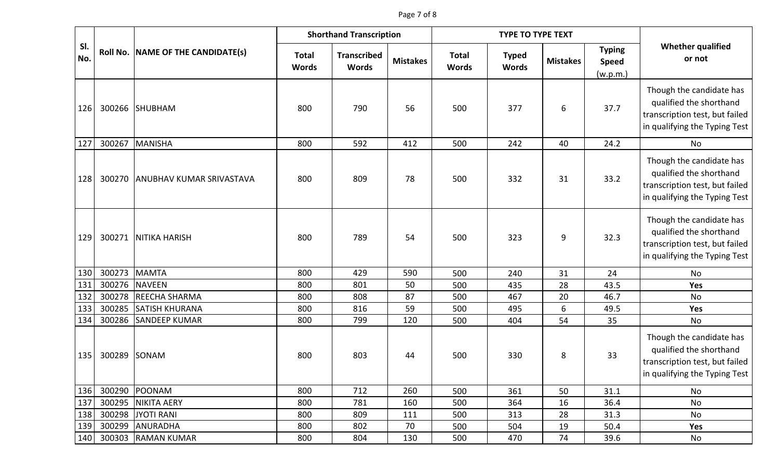|            |        |                                   | <b>Shorthand Transcription</b> |                                    |                 |                              | <b>TYPE TO TYPE TEXT</b>     |                 |                                           |                                                                                                                        |
|------------|--------|-----------------------------------|--------------------------------|------------------------------------|-----------------|------------------------------|------------------------------|-----------------|-------------------------------------------|------------------------------------------------------------------------------------------------------------------------|
| SI.<br>No. |        | Roll No. NAME OF THE CANDIDATE(s) | <b>Total</b><br><b>Words</b>   | <b>Transcribed</b><br><b>Words</b> | <b>Mistakes</b> | <b>Total</b><br><b>Words</b> | <b>Typed</b><br><b>Words</b> | <b>Mistakes</b> | <b>Typing</b><br><b>Speed</b><br>(w.p.m.) | <b>Whether qualified</b><br>or not                                                                                     |
| 126        |        | 300266 SHUBHAM                    | 800                            | 790                                | 56              | 500                          | 377                          | 6               | 37.7                                      | Though the candidate has<br>qualified the shorthand<br>transcription test, but failed<br>in qualifying the Typing Test |
| 127        | 300267 | MANISHA                           | 800                            | 592                                | 412             | 500                          | 242                          | 40              | 24.2                                      | No                                                                                                                     |
| 128        | 300270 | <b>ANUBHAV KUMAR SRIVASTAVA</b>   | 800                            | 809                                | 78              | 500                          | 332                          | 31              | 33.2                                      | Though the candidate has<br>qualified the shorthand<br>transcription test, but failed<br>in qualifying the Typing Test |
| 129        | 300271 | <b>NITIKA HARISH</b>              | 800                            | 789                                | 54              | 500                          | 323                          | 9               | 32.3                                      | Though the candidate has<br>qualified the shorthand<br>transcription test, but failed<br>in qualifying the Typing Test |
| 130        | 300273 | <b>MAMTA</b>                      | 800                            | 429                                | 590             | 500                          | 240                          | 31              | 24                                        | No                                                                                                                     |
| 131        | 300276 | <b>NAVEEN</b>                     | 800                            | 801                                | 50              | 500                          | 435                          | 28              | 43.5                                      | Yes                                                                                                                    |
| 132        | 300278 | <b>REECHA SHARMA</b>              | 800                            | 808                                | 87              | 500                          | 467                          | 20              | 46.7                                      | No                                                                                                                     |
| 133        | 300285 | <b>SATISH KHURANA</b>             | 800                            | 816                                | 59              | 500                          | 495                          | 6               | 49.5                                      | Yes                                                                                                                    |
| 134        | 300286 | <b>SANDEEP KUMAR</b>              | 800                            | 799                                | 120             | 500                          | 404                          | 54              | 35                                        | No                                                                                                                     |
| 135        | 300289 | SONAM                             | 800                            | 803                                | 44              | 500                          | 330                          | 8               | 33                                        | Though the candidate has<br>qualified the shorthand<br>transcription test, but failed<br>in qualifying the Typing Test |
| 136        | 300290 | POONAM                            | 800                            | 712                                | 260             | 500                          | 361                          | 50              | 31.1                                      | No                                                                                                                     |
| 137        | 300295 | NIKITA AERY                       | 800                            | 781                                | 160             | 500                          | 364                          | 16              | 36.4                                      | No                                                                                                                     |
| 138        | 300298 | <b>JYOTI RANI</b>                 | 800                            | 809                                | 111             | 500                          | 313                          | 28              | 31.3                                      | No                                                                                                                     |
| 139        | 300299 | <b>ANURADHA</b>                   | 800                            | 802                                | 70              | 500                          | 504                          | 19              | 50.4                                      | Yes                                                                                                                    |
| 140        | 300303 | <b>RAMAN KUMAR</b>                | 800                            | 804                                | 130             | 500                          | 470                          | 74              | 39.6                                      | No                                                                                                                     |